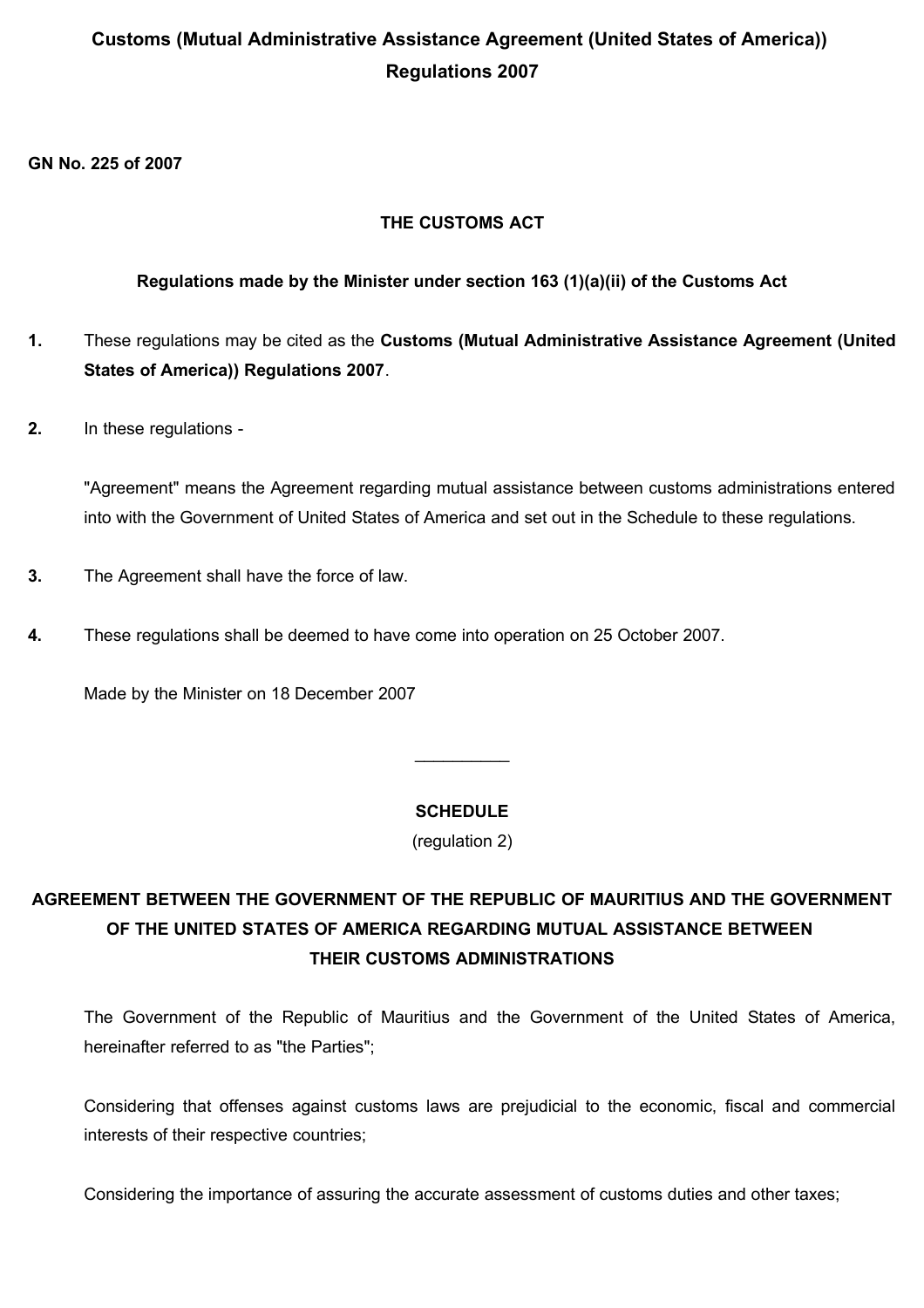# **Customs (Mutual Administrative Assistance Agreement (United States of America)) Regulations 2007**

**GN No. 225 of 2007** 

## **THE CUSTOMS ACT**

## **Regulations made by the Minister under section 163 (1)(a)(ii) of the Customs Act**

- **1.** These regulations may be cited as the **Customs (Mutual Administrative Assistance Agreement (United States of America)) Regulations 2007**.
- **2.** In these regulations -

"Agreement" means the Agreement regarding mutual assistance between customs administrations entered into with the Government of United States of America and set out in the Schedule to these regulations.

- **3.** The Agreement shall have the force of law.
- **4.** These regulations shall be deemed to have come into operation on 25 October 2007.

Made by the Minister on 18 December 2007

### **SCHEDULE**

 $\mathcal{L}_\text{max}$ 

(regulation 2)

# **AGREEMENT BETWEEN THE GOVERNMENT OF THE REPUBLIC OF MAURITIUS AND THE GOVERNMENT OF THE UNITED STATES OF AMERICA REGARDING MUTUAL ASSISTANCE BETWEEN THEIR CUSTOMS ADMINISTRATIONS**

The Government of the Republic of Mauritius and the Government of the United States of America, hereinafter referred to as "the Parties";

Considering that offenses against customs laws are prejudicial to the economic, fiscal and commercial interests of their respective countries;

Considering the importance of assuring the accurate assessment of customs duties and other taxes;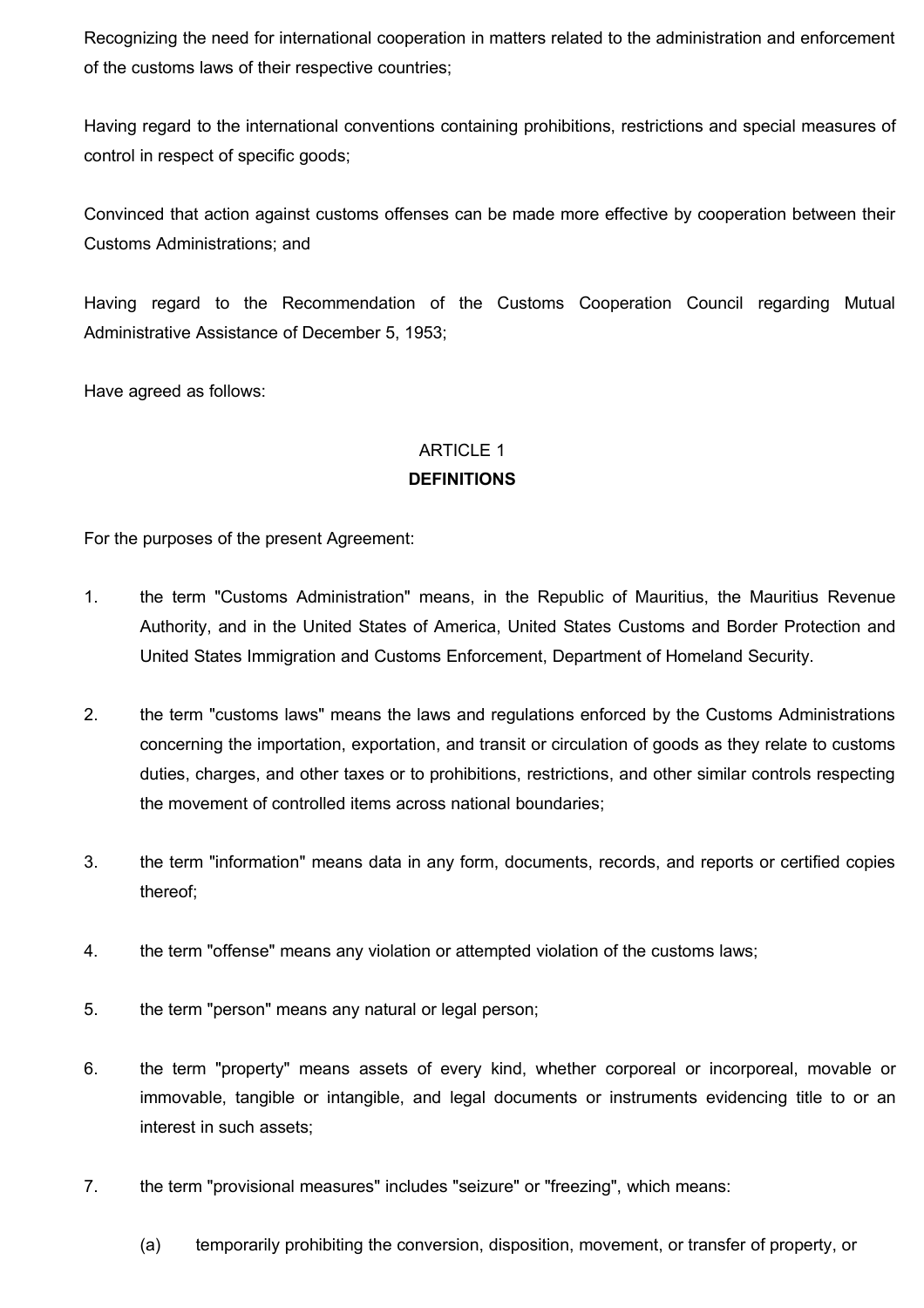Recognizing the need for international cooperation in matters related to the administration and enforcement of the customs laws of their respective countries;

Having regard to the international conventions containing prohibitions, restrictions and special measures of control in respect of specific goods;

Convinced that action against customs offenses can be made more effective by cooperation between their Customs Administrations; and

Having regard to the Recommendation of the Customs Cooperation Council regarding Mutual Administrative Assistance of December 5, 1953;

Have agreed as follows:

### ARTICLE 1

### **DEFINITIONS**

For the purposes of the present Agreement:

- 1. the term "Customs Administration" means, in the Republic of Mauritius, the Mauritius Revenue Authority, and in the United States of America, United States Customs and Border Protection and United States Immigration and Customs Enforcement, Department of Homeland Security.
- 2. the term "customs laws" means the laws and regulations enforced by the Customs Administrations concerning the importation, exportation, and transit or circulation of goods as they relate to customs duties, charges, and other taxes or to prohibitions, restrictions, and other similar controls respecting the movement of controlled items across national boundaries;
- 3. the term "information" means data in any form, documents, records, and reports or certified copies thereof;
- 4. the term "offense" means any violation or attempted violation of the customs laws;
- 5. the term "person" means any natural or legal person;
- 6. the term "property" means assets of every kind, whether corporeal or incorporeal, movable or immovable, tangible or intangible, and legal documents or instruments evidencing title to or an interest in such assets;
- 7. the term "provisional measures" includes "seizure" or "freezing", which means:
	- (a) temporarily prohibiting the conversion, disposition, movement, or transfer of property, or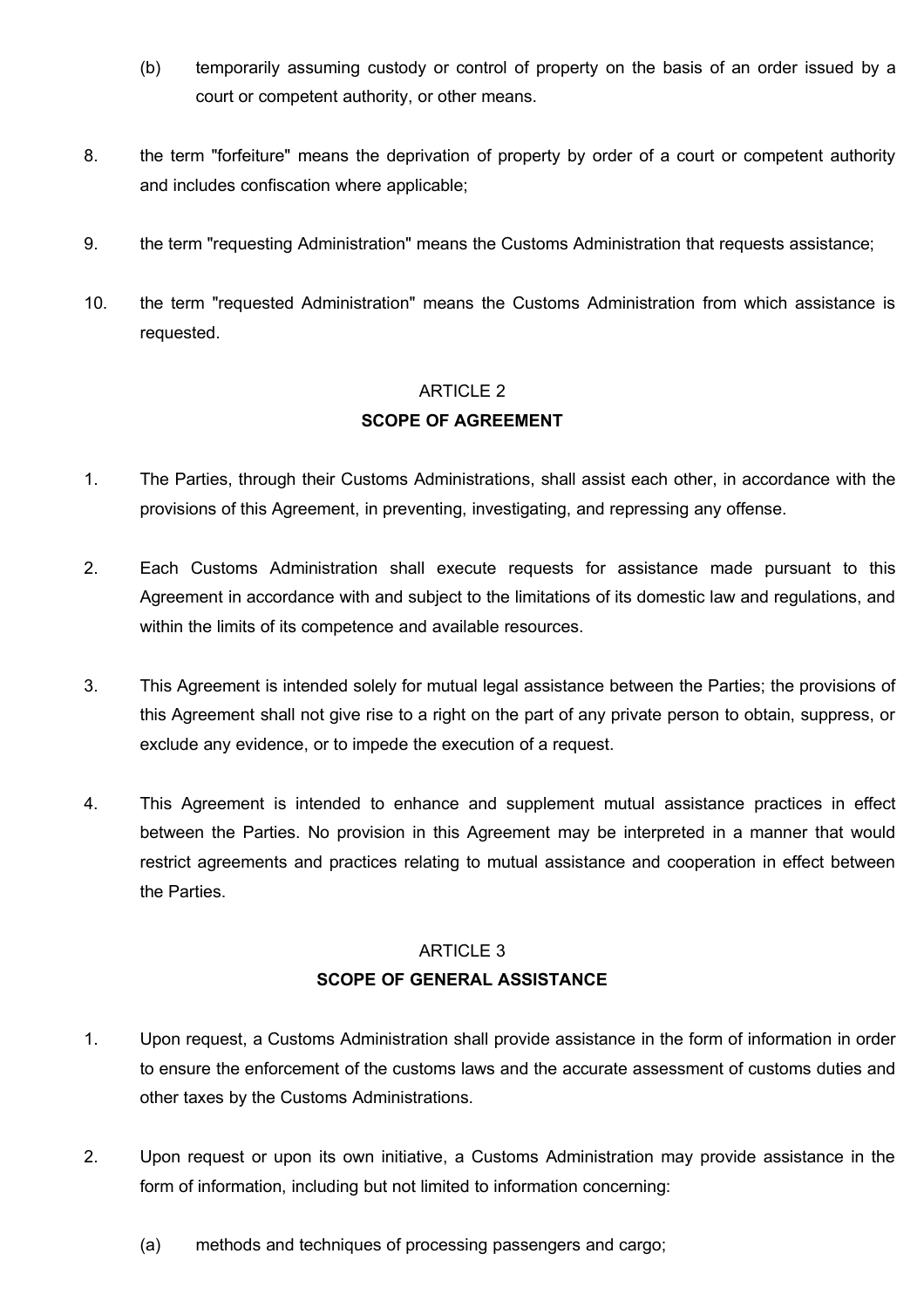- (b) temporarily assuming custody or control of property on the basis of an order issued by a court or competent authority, or other means.
- 8. the term "forfeiture" means the deprivation of property by order of a court or competent authority and includes confiscation where applicable;
- 9. the term "requesting Administration" means the Customs Administration that requests assistance;
- 10. the term "requested Administration" means the Customs Administration from which assistance is requested.

#### ARTICLE 2

### **SCOPE OF AGREEMENT**

- 1. The Parties, through their Customs Administrations, shall assist each other, in accordance with the provisions of this Agreement, in preventing, investigating, and repressing any offense.
- 2. Each Customs Administration shall execute requests for assistance made pursuant to this Agreement in accordance with and subject to the limitations of its domestic law and regulations, and within the limits of its competence and available resources.
- 3. This Agreement is intended solely for mutual legal assistance between the Parties; the provisions of this Agreement shall not give rise to a right on the part of any private person to obtain, suppress, or exclude any evidence, or to impede the execution of a request.
- 4. This Agreement is intended to enhance and supplement mutual assistance practices in effect between the Parties. No provision in this Agreement may be interpreted in a manner that would restrict agreements and practices relating to mutual assistance and cooperation in effect between the Parties.

#### ARTICLE 3

#### **SCOPE OF GENERAL ASSISTANCE**

- 1. Upon request, a Customs Administration shall provide assistance in the form of information in order to ensure the enforcement of the customs laws and the accurate assessment of customs duties and other taxes by the Customs Administrations.
- 2. Upon request or upon its own initiative, a Customs Administration may provide assistance in the form of information, including but not limited to information concerning:
	- (a) methods and techniques of processing passengers and cargo;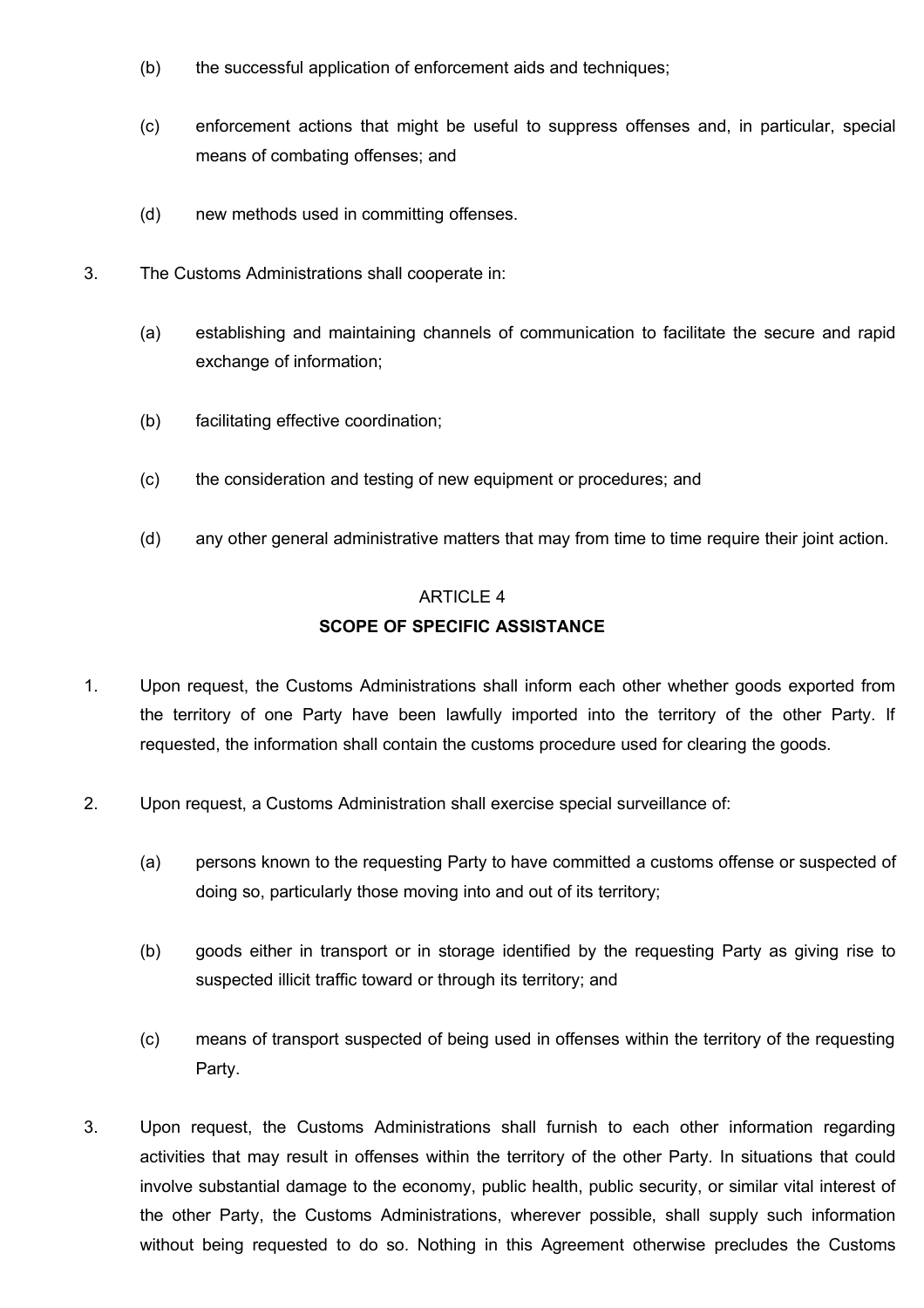- (b) the successful application of enforcement aids and techniques;
- (c) enforcement actions that might be useful to suppress offenses and, in particular, special means of combating offenses; and
- (d) new methods used in committing offenses.
- 3. The Customs Administrations shall cooperate in:
	- (a) establishing and maintaining channels of communication to facilitate the secure and rapid exchange of information;
	- (b) facilitating effective coordination;
	- (c) the consideration and testing of new equipment or procedures; and
	- (d) any other general administrative matters that may from time to time require their joint action.

## ARTICLE 4 **SCOPE OF SPECIFIC ASSISTANCE**

- 1. Upon request, the Customs Administrations shall inform each other whether goods exported from the territory of one Party have been lawfully imported into the territory of the other Party. If requested, the information shall contain the customs procedure used for clearing the goods.
- 2. Upon request, a Customs Administration shall exercise special surveillance of:
	- (a) persons known to the requesting Party to have committed a customs offense or suspected of doing so, particularly those moving into and out of its territory;
	- (b) goods either in transport or in storage identified by the requesting Party as giving rise to suspected illicit traffic toward or through its territory; and
	- (c) means of transport suspected of being used in offenses within the territory of the requesting Party.
- 3. Upon request, the Customs Administrations shall furnish to each other information regarding activities that may result in offenses within the territory of the other Party. In situations that could involve substantial damage to the economy, public health, public security, or similar vital interest of the other Party, the Customs Administrations, wherever possible, shall supply such information without being requested to do so. Nothing in this Agreement otherwise precludes the Customs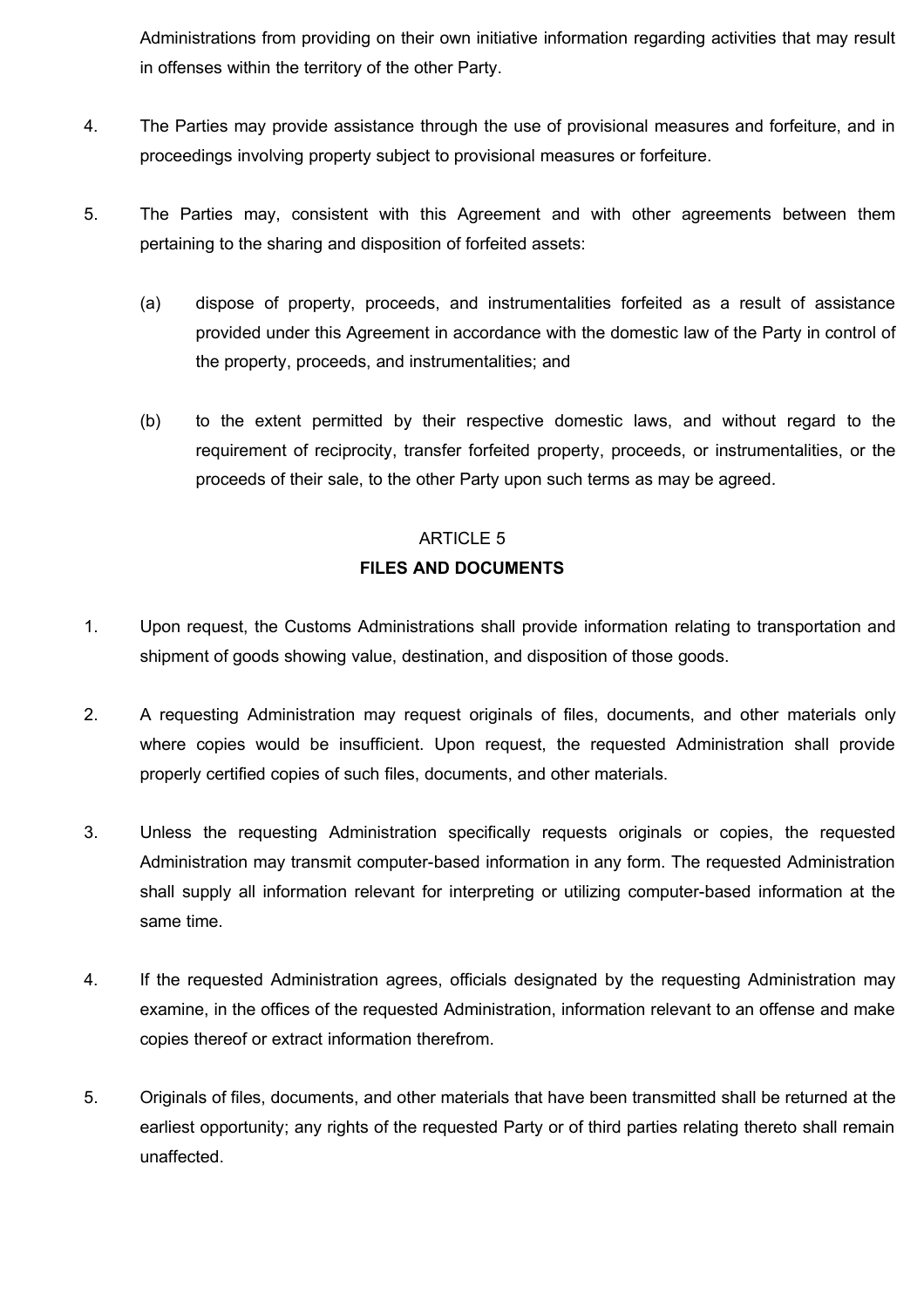Administrations from providing on their own initiative information regarding activities that may result in offenses within the territory of the other Party.

- 4. The Parties may provide assistance through the use of provisional measures and forfeiture, and in proceedings involving property subject to provisional measures or forfeiture.
- 5. The Parties may, consistent with this Agreement and with other agreements between them pertaining to the sharing and disposition of forfeited assets:
	- (a) dispose of property, proceeds, and instrumentalities forfeited as a result of assistance provided under this Agreement in accordance with the domestic law of the Party in control of the property, proceeds, and instrumentalities; and
	- (b) to the extent permitted by their respective domestic laws, and without regard to the requirement of reciprocity, transfer forfeited property, proceeds, or instrumentalities, or the proceeds of their sale, to the other Party upon such terms as may be agreed.

# ARTICLE 5 **FILES AND DOCUMENTS**

- 1. Upon request, the Customs Administrations shall provide information relating to transportation and shipment of goods showing value, destination, and disposition of those goods.
- 2. A requesting Administration may request originals of files, documents, and other materials only where copies would be insufficient. Upon request, the requested Administration shall provide properly certified copies of such files, documents, and other materials.
- 3. Unless the requesting Administration specifically requests originals or copies, the requested Administration may transmit computer-based information in any form. The requested Administration shall supply all information relevant for interpreting or utilizing computer-based information at the same time.
- 4. If the requested Administration agrees, officials designated by the requesting Administration may examine, in the offices of the requested Administration, information relevant to an offense and make copies thereof or extract information therefrom.
- 5. Originals of files, documents, and other materials that have been transmitted shall be returned at the earliest opportunity; any rights of the requested Party or of third parties relating thereto shall remain unaffected.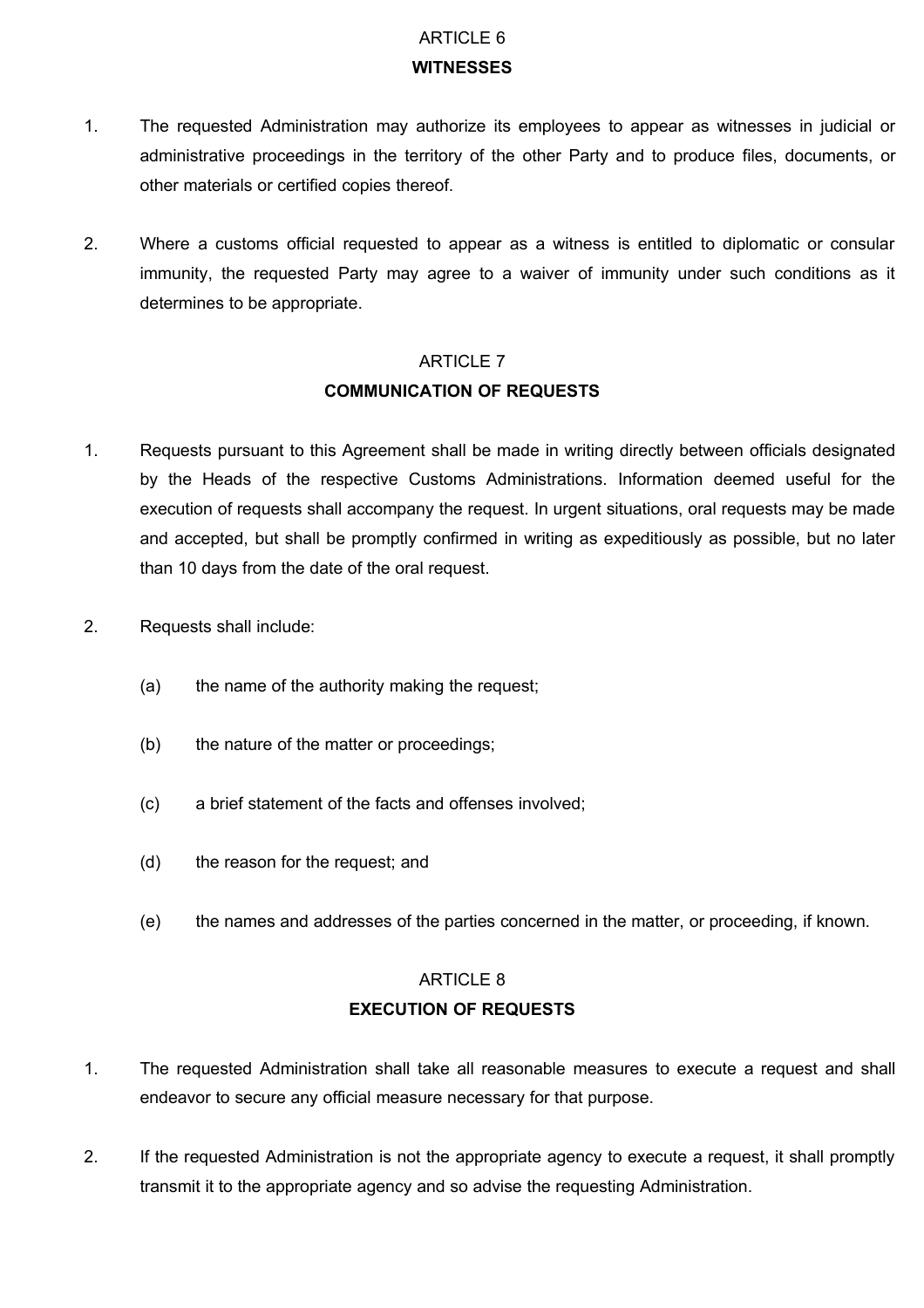## ARTICLE 6 **WITNESSES**

- 1. The requested Administration may authorize its employees to appear as witnesses in judicial or administrative proceedings in the territory of the other Party and to produce files, documents, or other materials or certified copies thereof.
- 2. Where a customs official requested to appear as a witness is entitled to diplomatic or consular immunity, the requested Party may agree to a waiver of immunity under such conditions as it determines to be appropriate.

# ARTICLE 7 **COMMUNICATION OF REQUESTS**

- 1. Requests pursuant to this Agreement shall be made in writing directly between officials designated by the Heads of the respective Customs Administrations. Information deemed useful for the execution of requests shall accompany the request. In urgent situations, oral requests may be made and accepted, but shall be promptly confirmed in writing as expeditiously as possible, but no later than 10 days from the date of the oral request.
- 2. Requests shall include:
	- (a) the name of the authority making the request;
	- (b) the nature of the matter or proceedings;
	- (c) a brief statement of the facts and offenses involved;
	- (d) the reason for the request; and
	- (e) the names and addresses of the parties concerned in the matter, or proceeding, if known.

# ARTICLE 8 **EXECUTION OF REQUESTS**

- 1. The requested Administration shall take all reasonable measures to execute a request and shall endeavor to secure any official measure necessary for that purpose.
- 2. If the requested Administration is not the appropriate agency to execute a request, it shall promptly transmit it to the appropriate agency and so advise the requesting Administration.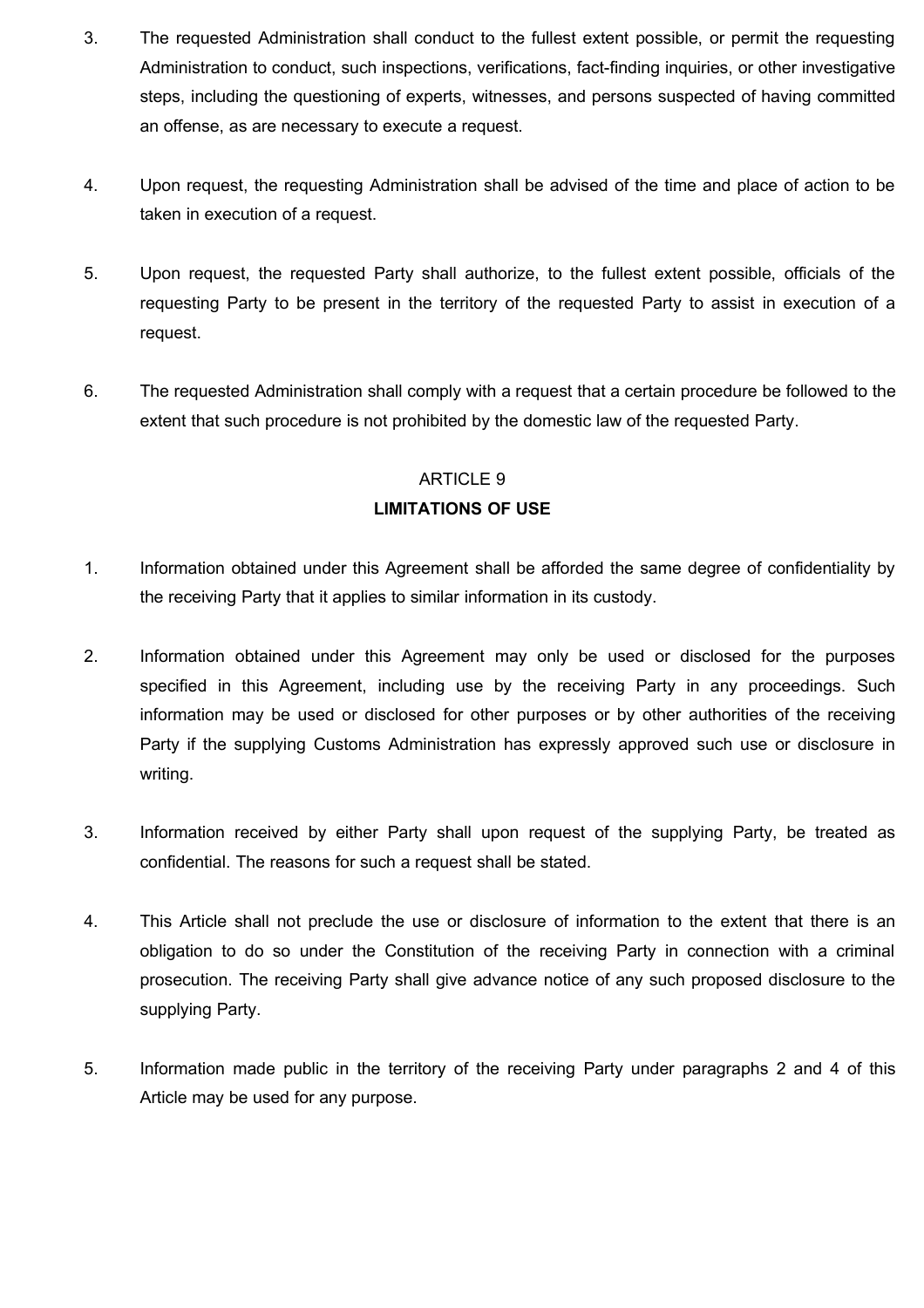- 3. The requested Administration shall conduct to the fullest extent possible, or permit the requesting Administration to conduct, such inspections, verifications, fact-finding inquiries, or other investigative steps, including the questioning of experts, witnesses, and persons suspected of having committed an offense, as are necessary to execute a request.
- 4. Upon request, the requesting Administration shall be advised of the time and place of action to be taken in execution of a request.
- 5. Upon request, the requested Party shall authorize, to the fullest extent possible, officials of the requesting Party to be present in the territory of the requested Party to assist in execution of a request.
- 6. The requested Administration shall comply with a request that a certain procedure be followed to the extent that such procedure is not prohibited by the domestic law of the requested Party.

#### ARTICLE 9

### **LIMITATIONS OF USE**

- 1. Information obtained under this Agreement shall be afforded the same degree of confidentiality by the receiving Party that it applies to similar information in its custody.
- 2. Information obtained under this Agreement may only be used or disclosed for the purposes specified in this Agreement, including use by the receiving Party in any proceedings. Such information may be used or disclosed for other purposes or by other authorities of the receiving Party if the supplying Customs Administration has expressly approved such use or disclosure in writing.
- 3. Information received by either Party shall upon request of the supplying Party, be treated as confidential. The reasons for such a request shall be stated.
- 4. This Article shall not preclude the use or disclosure of information to the extent that there is an obligation to do so under the Constitution of the receiving Party in connection with a criminal prosecution. The receiving Party shall give advance notice of any such proposed disclosure to the supplying Party.
- 5. Information made public in the territory of the receiving Party under paragraphs 2 and 4 of this Article may be used for any purpose.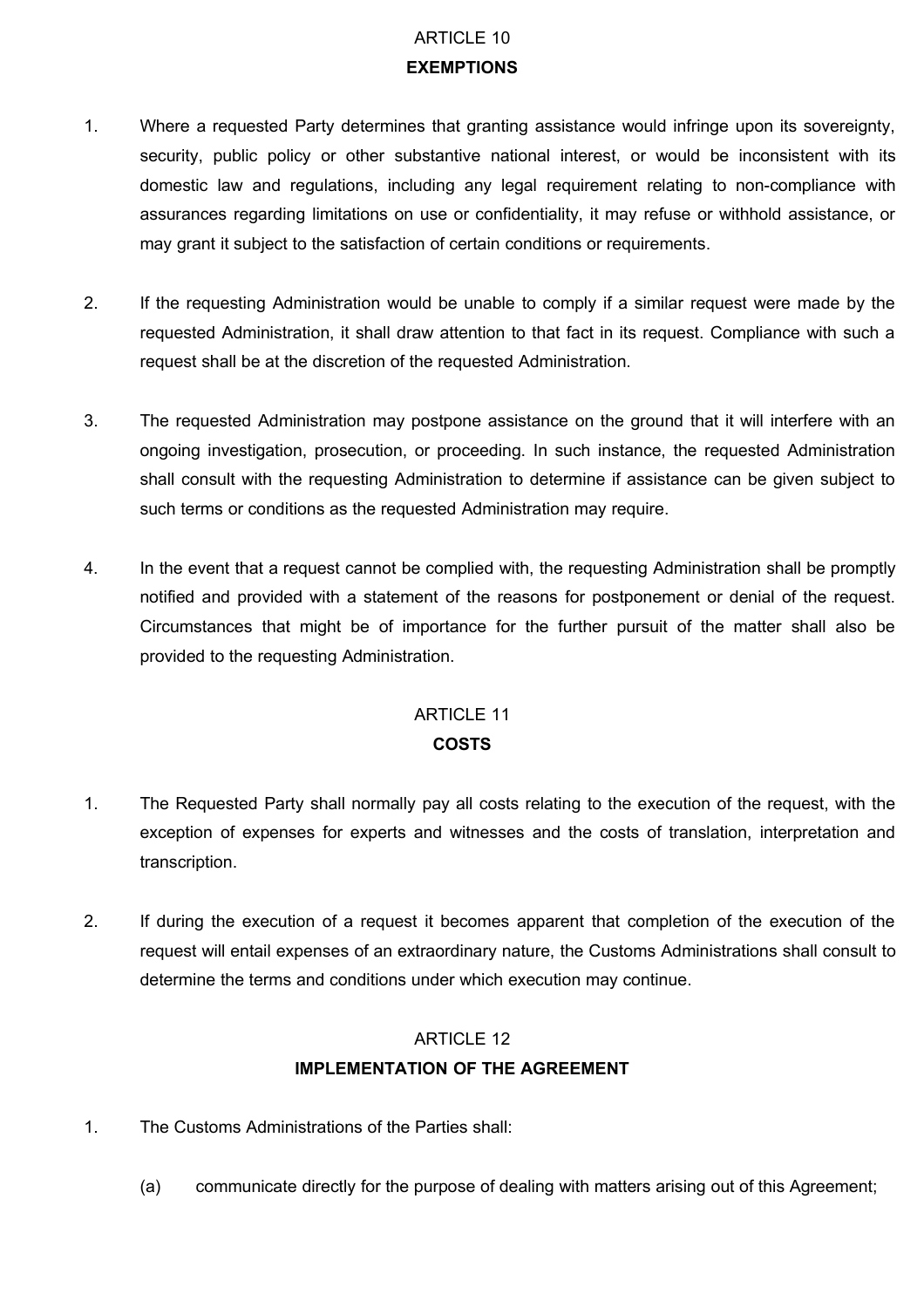# ARTICLE 10 **EXEMPTIONS**

- 1. Where a requested Party determines that granting assistance would infringe upon its sovereignty, security, public policy or other substantive national interest, or would be inconsistent with its domestic law and regulations, including any legal requirement relating to non-compliance with assurances regarding limitations on use or confidentiality, it may refuse or withhold assistance, or may grant it subject to the satisfaction of certain conditions or requirements.
- 2. If the requesting Administration would be unable to comply if a similar request were made by the requested Administration, it shall draw attention to that fact in its request. Compliance with such a request shall be at the discretion of the requested Administration.
- 3. The requested Administration may postpone assistance on the ground that it will interfere with an ongoing investigation, prosecution, or proceeding. In such instance, the requested Administration shall consult with the requesting Administration to determine if assistance can be given subject to such terms or conditions as the requested Administration may require.
- 4. In the event that a request cannot be complied with, the requesting Administration shall be promptly notified and provided with a statement of the reasons for postponement or denial of the request. Circumstances that might be of importance for the further pursuit of the matter shall also be provided to the requesting Administration.

# ARTICLE 11 **COSTS**

- 1. The Requested Party shall normally pay all costs relating to the execution of the request, with the exception of expenses for experts and witnesses and the costs of translation, interpretation and transcription.
- 2. If during the execution of a request it becomes apparent that completion of the execution of the request will entail expenses of an extraordinary nature, the Customs Administrations shall consult to determine the terms and conditions under which execution may continue.

# ARTICLE 12 **IMPLEMENTATION OF THE AGREEMENT**

- 1. The Customs Administrations of the Parties shall:
	- (a) communicate directly for the purpose of dealing with matters arising out of this Agreement;